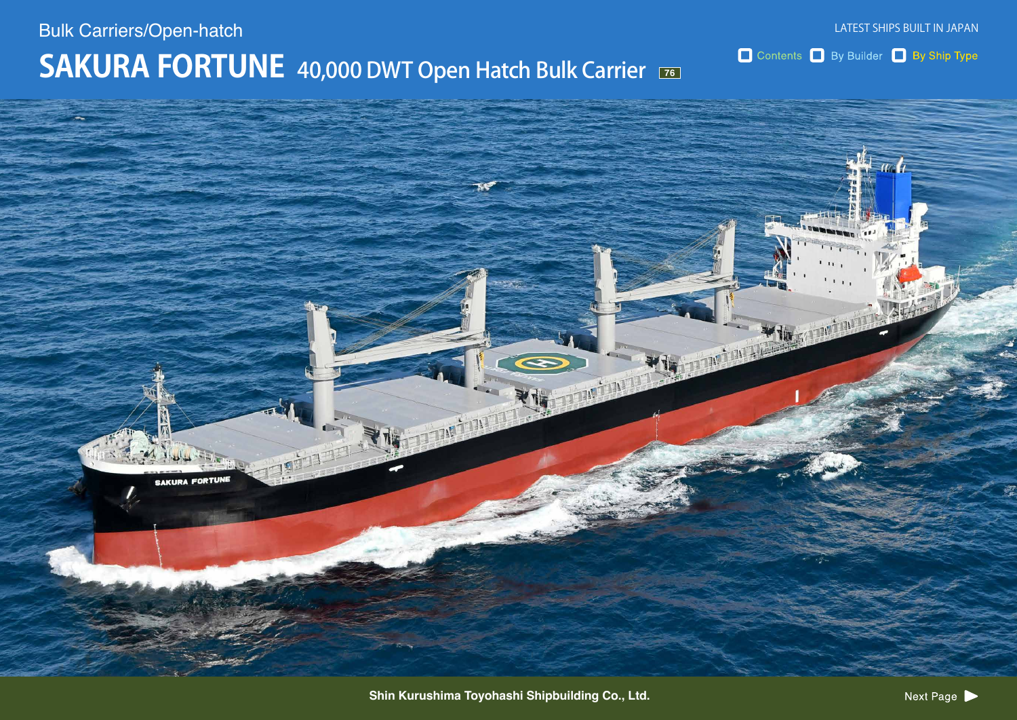## **SAKURA FORTUNE** 40,000 DWT Open Hatch Bulk Carrier **Bulk Carriers/Open-hatch**

**SAKURA FORTUNE** 

Contents By Builder By Ship Type